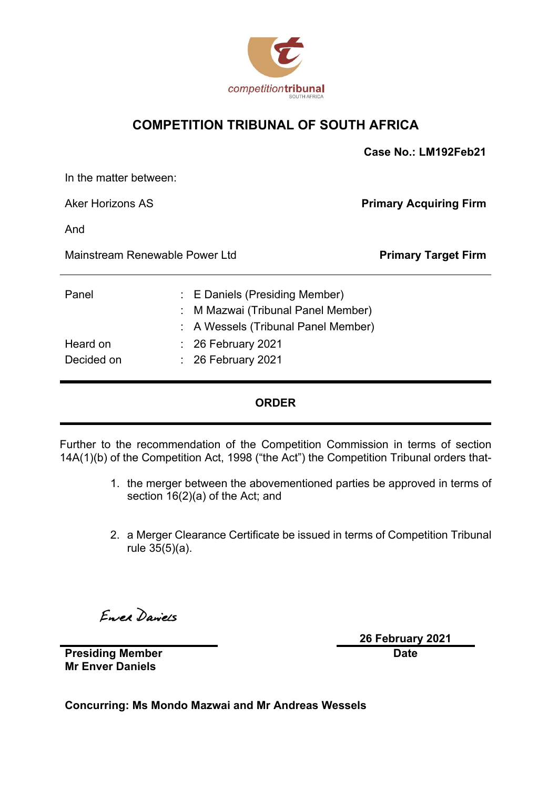

### **COMPETITION TRIBUNAL OF SOUTH AFRICA**

|                                |  |                                                                                                         | Case No.: LM192Feb21          |
|--------------------------------|--|---------------------------------------------------------------------------------------------------------|-------------------------------|
| In the matter between:         |  |                                                                                                         |                               |
| <b>Aker Horizons AS</b>        |  |                                                                                                         | <b>Primary Acquiring Firm</b> |
| And                            |  |                                                                                                         |                               |
| Mainstream Renewable Power Ltd |  | <b>Primary Target Firm</b>                                                                              |                               |
| Panel                          |  | : E Daniels (Presiding Member)<br>M Mazwai (Tribunal Panel Member)<br>A Wessels (Tribunal Panel Member) |                               |
| Heard on<br>Decided on         |  | $\therefore$ 26 February 2021<br>$: 26$ February 2021                                                   |                               |

### **ORDER**

Further to the recommendation of the Competition Commission in terms of section 14A(1)(b) of the Competition Act, 1998 ("the Act") the Competition Tribunal orders that-

- 1. the merger between the abovementioned parties be approved in terms of section 16(2)(a) of the Act; and
- 2. a Merger Clearance Certificate be issued in terms of Competition Tribunal rule 35(5)(a).

Enrea Daniels

**26 February 2021 Date**

**Presiding Member Mr Enver Daniels**

**Concurring: Ms Mondo Mazwai and Mr Andreas Wessels**